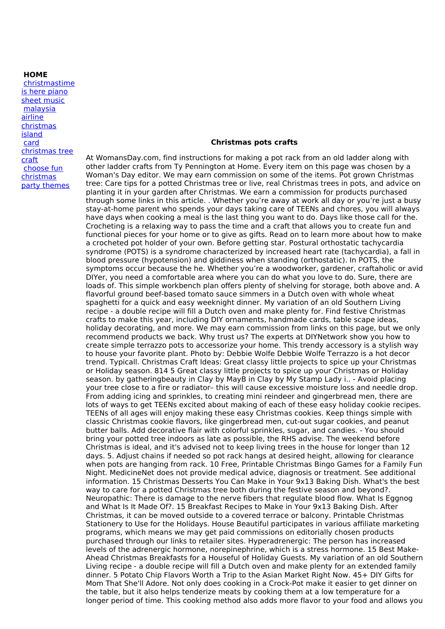## **HOME**

[christmastime](http://foto-ms.pl/detail/news/623410/chrismas/) is here piano sheet music malaysia airline [christmas](http://foto-ms.pl/detail/news/858411/chrismas/) island card [christmas](http://foto-ms.pl/detail/news/569573/chrismas/) tree craft choose fun [christmas](http://foto-ms.pl/detail/news/924533/chrismas/) party themes

## **Christmas pots crafts**

At WomansDay.com, find instructions for making a pot rack from an old ladder along with other ladder crafts from Ty Pennington at Home. Every item on this page was chosen by a Woman's Day editor. We may earn commission on some of the items. Pot grown Christmas tree: Care tips for a potted Christmas tree or live, real Christmas trees in pots, and advice on planting it in your garden after Christmas. We earn a commission for products purchased through some links in this article. . Whether you're away at work all day or you're just a busy stay-at-home parent who spends your days taking care of TEENs and chores, you will always have days when cooking a meal is the last thing you want to do. Days like those call for the. Crocheting is a relaxing way to pass the time and a craft that allows you to create fun and functional pieces for your home or to give as gifts. Read on to learn more about how to make a crocheted pot holder of your own. Before getting star. Postural orthostatic tachycardia syndrome (POTS) is a syndrome characterized by increased heart rate (tachycardia), a fall in blood pressure (hypotension) and giddiness when standing (orthostatic). In POTS, the symptoms occur because the he. Whether you're a woodworker, gardener, craftaholic or avid DIYer, you need a comfortable area where you can do what you love to do. Sure, there are loads of. This simple workbench plan offers plenty of shelving for storage, both above and. A flavorful ground beef-based tomato sauce simmers in a Dutch oven with whole wheat spaghetti for a quick and easy weeknight dinner. My variation of an old Southern Living recipe - a double recipe will fill a Dutch oven and make plenty for. Find festive Christmas crafts to make this year, including DIY ornaments, handmade cards, table scape ideas, holiday decorating, and more. We may earn commission from links on this page, but we only recommend products we back. Why trust us? The experts at DIYNetwork show you how to create simple terrazzo pots to accessorize your home. This trendy accessory is a stylish way to house your favorite plant. Photo by: Debbie Wolfe Debbie Wolfe Terrazzo is a hot decor trend. Typicall. Christmas Craft Ideas: Great classy little projects to spice up your Christmas or Holiday season. 814 5 Great classy little projects to spice up your Christmas or Holiday season. by gatheringbeauty in Clay by MayB in Clay by My Stamp Lady i.. - Avoid placing your tree close to a fire or radiator– this will cause excessive moisture loss and needle drop. From adding icing and sprinkles, to creating mini reindeer and gingerbread men, there are lots of ways to get TEENs excited about making of each of these easy holiday cookie recipes. TEENs of all ages will enjoy making these easy Christmas cookies. Keep things simple with classic Christmas cookie flavors, like gingerbread men, cut-out sugar cookies, and peanut butter balls. Add decorative flair with colorful sprinkles, sugar, and candies. - You should bring your potted tree indoors as late as possible, the RHS advise. The weekend before Christmas is ideal, and it's advised not to keep living trees in the house for longer than 12 days. 5. Adjust chains if needed so pot rack hangs at desired height, allowing for clearance when pots are hanging from rack. 10 Free, Printable Christmas Bingo Games for a Family Fun Night. MedicineNet does not provide medical advice, diagnosis or treatment. See additional information. 15 Christmas Desserts You Can Make in Your 9x13 Baking Dish. What's the best way to care for a potted Christmas tree both during the festive season and beyond?. Neuropathic: There is damage to the nerve fibers that regulate blood flow. What Is Eggnog and What Is It Made Of?. 15 Breakfast Recipes to Make in Your 9x13 Baking Dish. After Christmas, it can be moved outside to a covered terrace or balcony. Printable Christmas Stationery to Use for the Holidays. House Beautiful participates in various affiliate marketing programs, which means we may get paid commissions on editorially chosen products purchased through our links to retailer sites. Hyperadrenergic: The person has increased levels of the adrenergic hormone, norepinephrine, which is a stress hormone. 15 Best Make-Ahead Christmas Breakfasts for a Houseful of Holiday Guests. My variation of an old Southern Living recipe - a double recipe will fill a Dutch oven and make plenty for an extended family dinner. 5 Potato Chip Flavors Worth a Trip to the Asian Market Right Now. 45+ DIY Gifts for Mom That She'll Adore. Not only does cooking in a Crock-Pot make it easier to get dinner on the table, but it also helps tenderize meats by cooking them at a low temperature for a longer period of time. This cooking method also adds more flavor to your food and allows you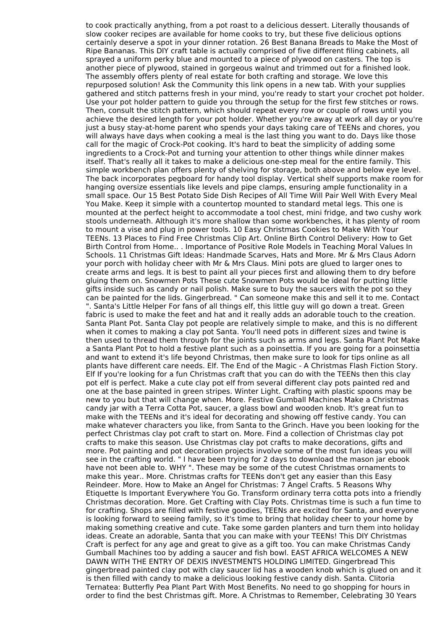to cook practically anything, from a pot roast to a delicious dessert. Literally thousands of slow cooker recipes are available for home cooks to try, but these five delicious options certainly deserve a spot in your dinner rotation. 26 Best Banana Breads to Make the Most of Ripe Bananas. This DIY craft table is actually comprised of five different filing cabinets, all sprayed a uniform perky blue and mounted to a piece of plywood on casters. The top is another piece of plywood, stained in gorgeous walnut and trimmed out for a finished look. The assembly offers plenty of real estate for both crafting and storage. We love this repurposed solution! Ask the Community this link opens in a new tab. With your supplies gathered and stitch patterns fresh in your mind, you're ready to start your crochet pot holder. Use your pot holder pattern to guide you through the setup for the first few stitches or rows. Then, consult the stitch pattern, which should repeat every row or couple of rows until you achieve the desired length for your pot holder. Whether you're away at work all day or you're just a busy stay-at-home parent who spends your days taking care of TEENs and chores, you will always have days when cooking a meal is the last thing you want to do. Days like those call for the magic of Crock-Pot cooking. It's hard to beat the simplicity of adding some ingredients to a Crock-Pot and turning your attention to other things while dinner makes itself. That's really all it takes to make a delicious one-step meal for the entire family. This simple workbench plan offers plenty of shelving for storage, both above and below eye level. The back incorporates pegboard for handy tool display. Vertical shelf supports make room for hanging oversize essentials like levels and pipe clamps, ensuring ample functionality in a small space. Our 15 Best Potato Side Dish Recipes of All Time Will Pair Well With Every Meal You Make. Keep it simple with a countertop mounted to standard metal legs. This one is mounted at the perfect height to accommodate a tool chest, mini fridge, and two cushy work stools underneath. Although it's more shallow than some workbenches, it has plenty of room to mount a vise and plug in power tools. 10 Easy Christmas Cookies to Make With Your TEENs. 13 Places to Find Free Christmas Clip Art. Online Birth Control Delivery: How to Get Birth Control from Home.. . Importance of Positive Role Models in Teaching Moral Values In Schools. 11 Christmas Gift Ideas: Handmade Scarves, Hats and More. Mr & Mrs Claus Adorn your porch with holiday cheer with Mr & Mrs Claus. Mini pots are glued to larger ones to create arms and legs. It is best to paint all your pieces first and allowing them to dry before gluing them on. Snowmen Pots These cute Snowmen Pots would be ideal for putting little gifts inside such as candy or nail polish. Make sure to buy the saucers with the pot so they can be painted for the lids. Gingerbread. " Can someone make this and sell it to me. Contact ". Santa's Little Helper For fans of all things elf, this little guy will go down a treat. Green fabric is used to make the feet and hat and it really adds an adorable touch to the creation. Santa Plant Pot. Santa Clay pot people are relatively simple to make, and this is no different when it comes to making a clay pot Santa. You'll need pots in different sizes and twine is then used to thread them through for the joints such as arms and legs. Santa Plant Pot Make a Santa Plant Pot to hold a festive plant such as a poinsettia. If you are going for a poinsettia and want to extend it's life beyond Christmas, then make sure to look for tips online as all plants have different care needs. Elf. The End of the Magic - A Christmas Flash Fiction Story. Elf If you're looking for a fun Christmas craft that you can do with the TEENs then this clay pot elf is perfect. Make a cute clay pot elf from several different clay pots painted red and one at the base painted in green stripes. Winter Light. Crafting with plastic spoons may be new to you but that will change when. More. Festive Gumball Machines Make a Christmas candy jar with a Terra Cotta Pot, saucer, a glass bowl and wooden knob. It's great fun to make with the TEENs and it's ideal for decorating and showing off festive candy. You can make whatever characters you like, from Santa to the Grinch. Have you been looking for the perfect Christmas clay pot craft to start on. More. Find a collection of Christmas clay pot crafts to make this season. Use Christmas clay pot crafts to make decorations, gifts and more. Pot painting and pot decoration projects involve some of the most fun ideas you will see in the crafting world. " I have been trying for 2 days to download the mason jar ebook have not been able to. WHY ". These may be some of the cutest Christmas ornaments to make this year.. More. Christmas crafts for TEENs don't get any easier than this Easy Reindeer. More. How to Make an Angel for Christmas: 7 Angel Crafts. 5 Reasons Why Etiquette Is Important Everywhere You Go. Transform ordinary terra cotta pots into a friendly Christmas decoration. More. Get Crafting with Clay Pots. Christmas time is such a fun time to for crafting. Shops are filled with festive goodies, TEENs are excited for Santa, and everyone is looking forward to seeing family, so it's time to bring that holiday cheer to your home by making something creative and cute. Take some garden planters and turn them into holiday ideas. Create an adorable, Santa that you can make with your TEENs! This DIY Christmas Craft is perfect for any age and great to give as a gift too. You can make Christmas Candy Gumball Machines too by adding a saucer and fish bowl. EAST AFRICA WELCOMES A NEW DAWN WITH THE ENTRY OF DEXIS INVESTMENTS HOLDING LIMITED. Gingerbread This gingerbread painted clay pot with clay saucer lid has a wooden knob which is glued on and it is then filled with candy to make a delicious looking festive candy dish. Santa. Clitoria Ternatea: Butterfly Pea Plant Part With Most Benefits. No need to go shopping for hours in order to find the best Christmas gift. More. A Christmas to Remember, Celebrating 30 Years